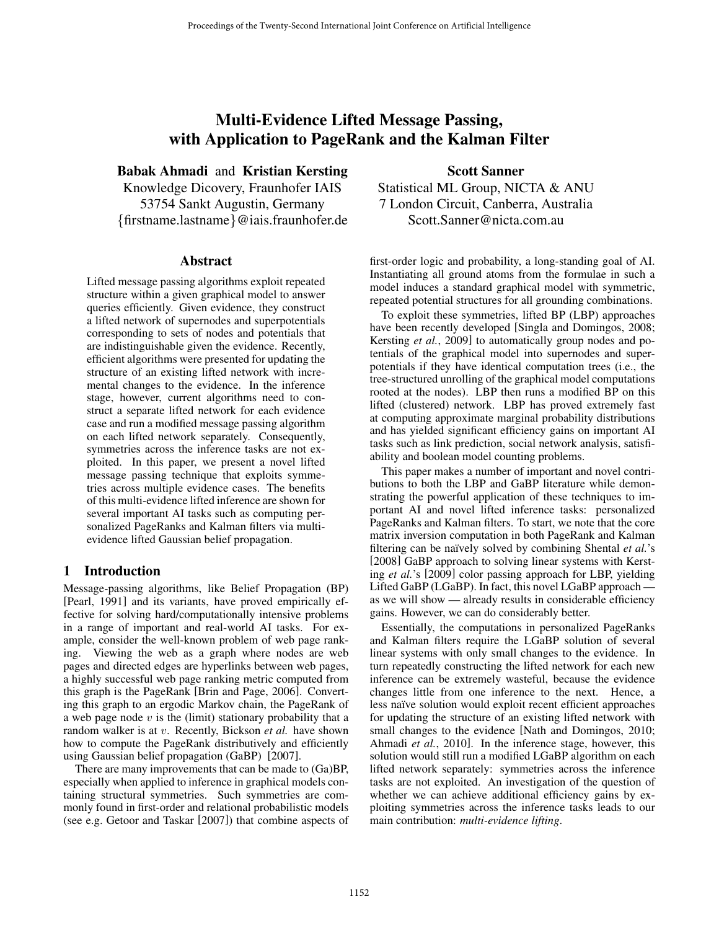# Multi-Evidence Lifted Message Passing, with Application to PageRank and the Kalman Filter

Babak Ahmadi and Kristian Kersting

Knowledge Dicovery, Fraunhofer IAIS 53754 Sankt Augustin, Germany {firstname.lastname}@iais.fraunhofer.de

### Abstract

Lifted message passing algorithms exploit repeated structure within a given graphical model to answer queries efficiently. Given evidence, they construct a lifted network of supernodes and superpotentials corresponding to sets of nodes and potentials that are indistinguishable given the evidence. Recently, efficient algorithms were presented for updating the structure of an existing lifted network with incremental changes to the evidence. In the inference stage, however, current algorithms need to construct a separate lifted network for each evidence case and run a modified message passing algorithm on each lifted network separately. Consequently, symmetries across the inference tasks are not exploited. In this paper, we present a novel lifted message passing technique that exploits symmetries across multiple evidence cases. The benefits of this multi-evidence lifted inference are shown for several important AI tasks such as computing personalized PageRanks and Kalman filters via multievidence lifted Gaussian belief propagation.

## 1 Introduction

Message-passing algorithms, like Belief Propagation (BP) [Pearl, 1991] and its variants, have proved empirically effective for solving hard/computationally intensive problems in a range of important and real-world AI tasks. For example, consider the well-known problem of web page ranking. Viewing the web as a graph where nodes are web pages and directed edges are hyperlinks between web pages, a highly successful web page ranking metric computed from this graph is the PageRank [Brin and Page, 2006]. Converting this graph to an ergodic Markov chain, the PageRank of a web page node  $v$  is the (limit) stationary probability that a random walker is at v. Recently, Bickson *et al.* have shown how to compute the PageRank distributively and efficiently using Gaussian belief propagation (GaBP) [2007].

There are many improvements that can be made to (Ga)BP, especially when applied to inference in graphical models containing structural symmetries. Such symmetries are commonly found in first-order and relational probabilistic models (see e.g. Getoor and Taskar [2007]) that combine aspects of

Scott Sanner Statistical ML Group, NICTA & ANU 7 London Circuit, Canberra, Australia Scott.Sanner@nicta.com.au

first-order logic and probability, a long-standing goal of AI. Instantiating all ground atoms from the formulae in such a model induces a standard graphical model with symmetric, repeated potential structures for all grounding combinations.

To exploit these symmetries, lifted BP (LBP) approaches have been recently developed [Singla and Domingos, 2008; Kersting *et al.*, 2009] to automatically group nodes and potentials of the graphical model into supernodes and superpotentials if they have identical computation trees (i.e., the tree-structured unrolling of the graphical model computations rooted at the nodes). LBP then runs a modified BP on this lifted (clustered) network. LBP has proved extremely fast at computing approximate marginal probability distributions and has yielded significant efficiency gains on important AI tasks such as link prediction, social network analysis, satisfiability and boolean model counting problems.

This paper makes a number of important and novel contributions to both the LBP and GaBP literature while demonstrating the powerful application of these techniques to important AI and novel lifted inference tasks: personalized PageRanks and Kalman filters. To start, we note that the core matrix inversion computation in both PageRank and Kalman filtering can be naïvely solved by combining Shental *et al.*'s [2008] GaBP approach to solving linear systems with Kersting *et al.*'s [2009] color passing approach for LBP, yielding Lifted GaBP (LGaBP). In fact, this novel LGaBP approach as we will show — already results in considerable efficiency gains. However, we can do considerably better.

Essentially, the computations in personalized PageRanks and Kalman filters require the LGaBP solution of several linear systems with only small changes to the evidence. In turn repeatedly constructing the lifted network for each new inference can be extremely wasteful, because the evidence changes little from one inference to the next. Hence, a less naïve solution would exploit recent efficient approaches for updating the structure of an existing lifted network with small changes to the evidence [Nath and Domingos, 2010; Ahmadi *et al.*, 2010]. In the inference stage, however, this solution would still run a modified LGaBP algorithm on each lifted network separately: symmetries across the inference tasks are not exploited. An investigation of the question of whether we can achieve additional efficiency gains by exploiting symmetries across the inference tasks leads to our main contribution: *multi-evidence lifting*.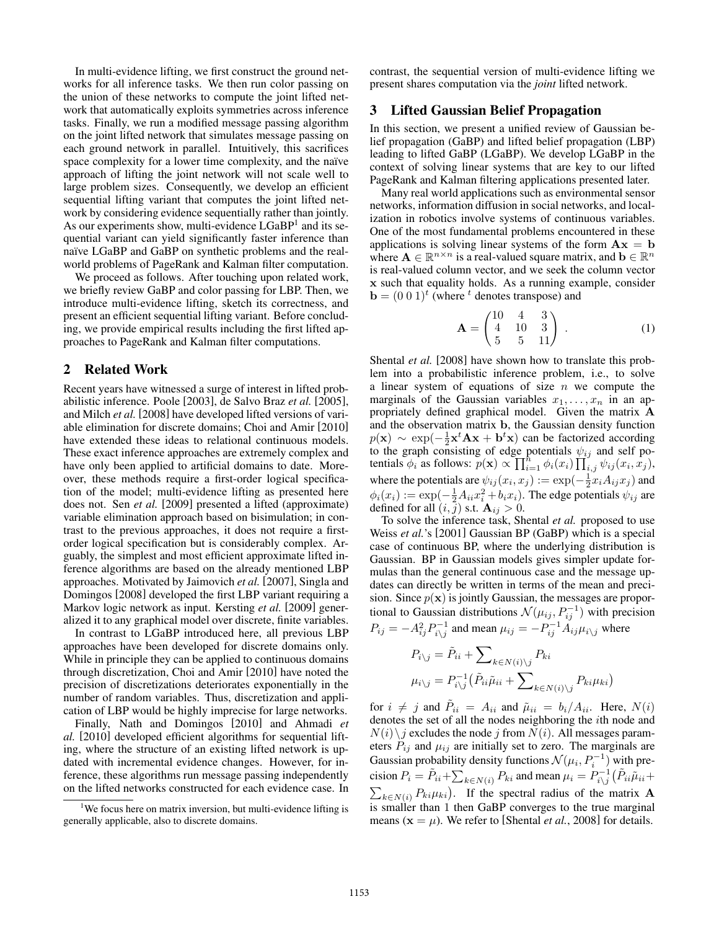In multi-evidence lifting, we first construct the ground networks for all inference tasks. We then run color passing on the union of these networks to compute the joint lifted network that automatically exploits symmetries across inference tasks. Finally, we run a modified message passing algorithm on the joint lifted network that simulates message passing on each ground network in parallel. Intuitively, this sacrifices space complexity for a lower time complexity, and the naïve approach of lifting the joint network will not scale well to large problem sizes. Consequently, we develop an efficient sequential lifting variant that computes the joint lifted network by considering evidence sequentially rather than jointly. As our experiments show, multi-evidence LGaBP<sup>1</sup> and its sequential variant can yield significantly faster inference than naïve LGaBP and GaBP on synthetic problems and the realworld problems of PageRank and Kalman filter computation.

We proceed as follows. After touching upon related work, we briefly review GaBP and color passing for LBP. Then, we introduce multi-evidence lifting, sketch its correctness, and present an efficient sequential lifting variant. Before concluding, we provide empirical results including the first lifted approaches to PageRank and Kalman filter computations.

#### 2 Related Work

Recent years have witnessed a surge of interest in lifted probabilistic inference. Poole [2003], de Salvo Braz *et al.* [2005], and Milch *et al.* [2008] have developed lifted versions of variable elimination for discrete domains; Choi and Amir [2010] have extended these ideas to relational continuous models. These exact inference approaches are extremely complex and have only been applied to artificial domains to date. Moreover, these methods require a first-order logical specification of the model; multi-evidence lifting as presented here does not. Sen *et al.* [2009] presented a lifted (approximate) variable elimination approach based on bisimulation; in contrast to the previous approaches, it does not require a firstorder logical specification but is considerably complex. Arguably, the simplest and most efficient approximate lifted inference algorithms are based on the already mentioned LBP approaches. Motivated by Jaimovich *et al.* [2007], Singla and Domingos [2008] developed the first LBP variant requiring a Markov logic network as input. Kersting *et al.* [2009] generalized it to any graphical model over discrete, finite variables.

In contrast to LGaBP introduced here, all previous LBP approaches have been developed for discrete domains only. While in principle they can be applied to continuous domains through discretization, Choi and Amir [2010] have noted the precision of discretizations deteriorates exponentially in the number of random variables. Thus, discretization and application of LBP would be highly imprecise for large networks.

Finally, Nath and Domingos [2010] and Ahmadi *et al.* [2010] developed efficient algorithms for sequential lifting, where the structure of an existing lifted network is updated with incremental evidence changes. However, for inference, these algorithms run message passing independently on the lifted networks constructed for each evidence case. In contrast, the sequential version of multi-evidence lifting we present shares computation via the *joint* lifted network.

#### 3 Lifted Gaussian Belief Propagation

In this section, we present a unified review of Gaussian belief propagation (GaBP) and lifted belief propagation (LBP) leading to lifted GaBP (LGaBP). We develop LGaBP in the context of solving linear systems that are key to our lifted PageRank and Kalman filtering applications presented later.

Many real world applications such as environmental sensor networks, information diffusion in social networks, and localization in robotics involve systems of continuous variables. One of the most fundamental problems encountered in these applications is solving linear systems of the form  $A x = b$ where  $A \in \mathbb{R}^{n \times n}$  is a real-valued square matrix, and  $b \in \mathbb{R}^n$ is real-valued column vector, and we seek the column vector **x** such that equality holds. As a running example, consider  **(where <sup>t</sup> denotes transpose) and** 

$$
\mathbf{A} = \begin{pmatrix} 10 & 4 & 3 \\ 4 & 10 & 3 \\ 5 & 5 & 11 \end{pmatrix} . \tag{1}
$$

Shental *et al.* [2008] have shown how to translate this problem into a probabilistic inference problem, i.e., to solve a linear system of equations of size  $n$  we compute the marginals of the Gaussian variables  $x_1, \ldots, x_n$  in an appropriately defined graphical model. Given the matrix **A** and the observation matrix **b**, the Gaussian density function  $p(\mathbf{x}) \sim \exp(-\frac{1}{2}\mathbf{x}^t \mathbf{A} \mathbf{x} + \mathbf{b}^t \mathbf{x})$  can be factorized according to the graph consisting of edge potentials  $\psi_{ij}$  and self potentials  $\phi_i$  as follows:  $p(\mathbf{x}) \propto \prod_{i=1}^n \phi_i(x_i) \prod_{i,j}^{\mathcal{N}} \psi_{ij}(x_i, x_j)$ , where the potentials are  $\psi_{ij}(x_i, x_j) := \exp(-\frac{1}{2}x_i A_{ij}x_j)$  and  $\phi_i(x_i) := \exp(-\frac{1}{2}A_{ii}x_i^2 + b_i x_i)$ . The edge potentials  $\psi_{ij}$  are defined for all  $(i, \bar{j})$  s.t.  $\mathbf{A}_{ij} > 0$ .

To solve the inference task, Shental *et al.* proposed to use Weiss *et al.*'s [2001] Gaussian BP (GaBP) which is a special case of continuous BP, where the underlying distribution is Gaussian. BP in Gaussian models gives simpler update formulas than the general continuous case and the message updates can directly be written in terms of the mean and precision. Since  $p(x)$  is jointly Gaussian, the messages are proportional to Gaussian distributions  $\mathcal{N}(\mu_{ij}, P_{ij}^{-1})$  with precision  $P_{ij} = -A_{ij}^2 P_{i\backslash j}^{-1}$  and mean  $\mu_{ij} = -P_{ij}^{-1} A_{ij} \mu_{i\backslash j}$  where

$$
P_{i\backslash j} = \tilde{P}_{ii} + \sum_{k \in N(i)\backslash j} P_{ki}
$$

$$
\mu_{i\backslash j} = P_{i\backslash j}^{-1} (\tilde{P}_{ii}\tilde{\mu}_{ii} + \sum_{k \in N(i)\backslash j} P_{ki}\mu_{ki})
$$

for  $i \neq j$  and  $\tilde{P}_{ii} = A_{ii}$  and  $\tilde{\mu}_{ii} = b_i/A_{ii}$ . Here,  $N(i)$ denotes the set of all the nodes neighboring the ith node and  $N(i)\backslash j$  excludes the node j from  $N(i)$ . All messages parameters  $P_{ij}$  and  $\mu_{ij}$  are initially set to zero. The marginals are Gaussian probability density functions  $\mathcal{N}(\mu_i, P_i^{-1})$  with precision  $P_i = \tilde{P}_{ii} + \sum_{k \in N(i)} P_{ki}$  and mean  $\mu_i = P_{i \setminus j}^{-1} (\tilde{P}_{ii} \tilde{\mu}_{ii} +$  $\sum_{k \in N(i)} P_{ki} \mu_{ki}$ . If the spectral radius of the matrix **A** is smaller than 1 then GaBP converges to the true marginal means  $(x = \mu)$ . We refer to [Shental *et al.*, 2008] for details.

<sup>&</sup>lt;sup>1</sup>We focus here on matrix inversion, but multi-evidence lifting is generally applicable, also to discrete domains.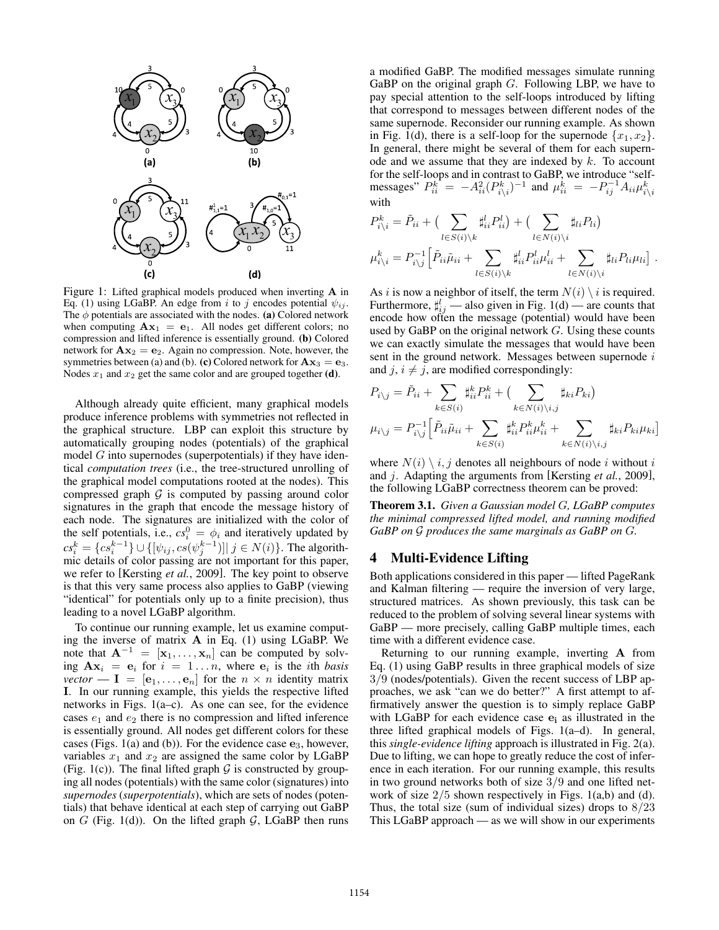

Figure 1: Lifted graphical models produced when inverting **A** in Eq. (1) using LGaBP. An edge from i to j encodes potential  $\psi_{ij}$ . The  $\phi$  potentials are associated with the nodes. (a) Colored network when computing  $A x_1 = e_1$ . All nodes get different colors; no compression and lifted inference is essentially ground. (b) Colored network for  $A x_2 = e_2$ . Again no compression. Note, however, the symmetries between (a) and (b). (c) Colored network for  $A x_3 = e_3$ . Nodes  $x_1$  and  $x_2$  get the same color and are grouped together (**d**).

Although already quite efficient, many graphical models produce inference problems with symmetries not reflected in the graphical structure. LBP can exploit this structure by automatically grouping nodes (potentials) of the graphical model  $G$  into supernodes (superpotentials) if they have identical *computation trees* (i.e., the tree-structured unrolling of the graphical model computations rooted at the nodes). This compressed graph  $G$  is computed by passing around color signatures in the graph that encode the message history of each node. The signatures are initialized with the color of the self potentials, i.e.,  $cs_i^0 = \phi_i$  and iteratively updated by  $cs_i^k = \{cs_i^{k-1}\} \cup \{[\psi_{ij}, cs(\psi_j^{k-1})]| j \in N(i)\}.$  The algorithmic details of color passing are not important for this paper, we refer to [Kersting *et al.*, 2009]. The key point to observe is that this very same process also applies to GaBP (viewing "identical" for potentials only up to a finite precision), thus leading to a novel LGaBP algorithm.

To continue our running example, let us examine computing the inverse of matrix **A** in Eq. (1) using LGaBP. We note that  $A^{-1} = [\mathbf{x}_1, \dots, \mathbf{x}_n]$  can be computed by solving  $A x_i = e_i$  for  $i = 1...n$ , where  $e_i$  is the *i*th *basis vector* —  $I = [\mathbf{e}_1, \dots, \mathbf{e}_n]$  for the  $n \times n$  identity matrix **I**. In our running example, this yields the respective lifted networks in Figs. 1(a–c). As one can see, for the evidence cases  $e_1$  and  $e_2$  there is no compression and lifted inference is essentially ground. All nodes get different colors for these cases (Figs. 1(a) and (b)). For the evidence case **e**3, however, variables  $x_1$  and  $x_2$  are assigned the same color by LGaBP (Fig. 1(c)). The final lifted graph  $G$  is constructed by grouping all nodes (potentials) with the same color (signatures) into *supernodes* (*superpotentials*), which are sets of nodes (potentials) that behave identical at each step of carrying out GaBP on  $G$  (Fig. 1(d)). On the lifted graph  $G$ , LGaBP then runs a modified GaBP. The modified messages simulate running GaBP on the original graph  $G$ . Following LBP, we have to pay special attention to the self-loops introduced by lifting that correspond to messages between different nodes of the same supernode. Reconsider our running example. As shown in Fig. 1(d), there is a self-loop for the supernode  $\{x_1, x_2\}$ . In general, there might be several of them for each supernode and we assume that they are indexed by  $k$ . To account for the self-loops and in contrast to GaBP, we introduce "selfmessages"  $P_{ii}^k = -A_{ii}^2 (P_{i\setminus i}^k)^{-1}$  and  $\mu_{ii}^k = -P_{ij}^{-1} A_{ii} \mu_{i\setminus i}^k$ with

$$
P_{i\backslash i}^k = \tilde{P}_{ii} + \left(\sum_{l \in S(i)\backslash k} \sharp_{ii}^l P_{ii}^l\right) + \left(\sum_{l \in N(i)\backslash i} \sharp_{li} P_{li}\right)
$$
  

$$
\mu_{i\backslash i}^k = P_{i\backslash j}^{-1} \left[\tilde{P}_{ii}\tilde{\mu}_{ii} + \sum_{l \in S(i)\backslash k} \sharp_{ii}^l P_{ii}^l \mu_{ii}^l + \sum_{l \in N(i)\backslash i} \sharp_{li} P_{li} \mu_{li}\right].
$$

As *i* is now a neighbor of itself, the term  $N(i) \setminus i$  is required. Furthermore,  $\sharp_{ij}^l$  — also given in Fig. 1(d) — are counts that encode how often the message (potential) would have been used by GaBP on the original network  $G$ . Using these counts we can exactly simulate the messages that would have been sent in the ground network. Messages between supernode i and  $j, i \neq j$ , are modified correspondingly:

$$
P_{i\backslash j} = \tilde{P}_{ii} + \sum_{k \in S(i)} \sharp_{ii}^k P_{ii}^k + \left( \sum_{k \in N(i)\backslash i,j} \sharp_{ki} P_{ki} \right)
$$
  

$$
\mu_{i\backslash j} = P_{i\backslash j}^{-1} \Big[ \tilde{P}_{ii} \tilde{\mu}_{ii} + \sum_{k \in S(i)} \sharp_{ii}^k P_{ii}^k \mu_{ii}^k + \sum_{k \in N(i)\backslash i,j} \sharp_{ki} P_{ki} \mu_{ki} \Big]
$$

where  $N(i) \setminus i, j$  denotes all neighbours of node i without i and j. Adapting the arguments from [Kersting *et al.*, 2009], the following LGaBP correctness theorem can be proved:

Theorem 3.1. *Given a Gaussian model* G*, LGaBP computes the minimal compressed lifted model, and running modified GaBP on* G *produces the same marginals as GaBP on* G*.*

### 4 Multi-Evidence Lifting

Both applications considered in this paper — lifted PageRank and Kalman filtering — require the inversion of very large, structured matrices. As shown previously, this task can be reduced to the problem of solving several linear systems with GaBP — more precisely, calling GaBP multiple times, each time with a different evidence case.

Returning to our running example, inverting **A** from Eq. (1) using GaBP results in three graphical models of size 3/9 (nodes/potentials). Given the recent success of LBP approaches, we ask "can we do better?" A first attempt to affirmatively answer the question is to simply replace GaBP with LGaBP for each evidence case **e<sup>i</sup>** as illustrated in the three lifted graphical models of Figs. 1(a–d). In general, this *single-evidence lifting* approach is illustrated in Fig. 2(a). Due to lifting, we can hope to greatly reduce the cost of inference in each iteration. For our running example, this results in two ground networks both of size 3/9 and one lifted network of size  $2/5$  shown respectively in Figs. 1(a,b) and (d). Thus, the total size (sum of individual sizes) drops to  $8/23$ This LGaBP approach — as we will show in our experiments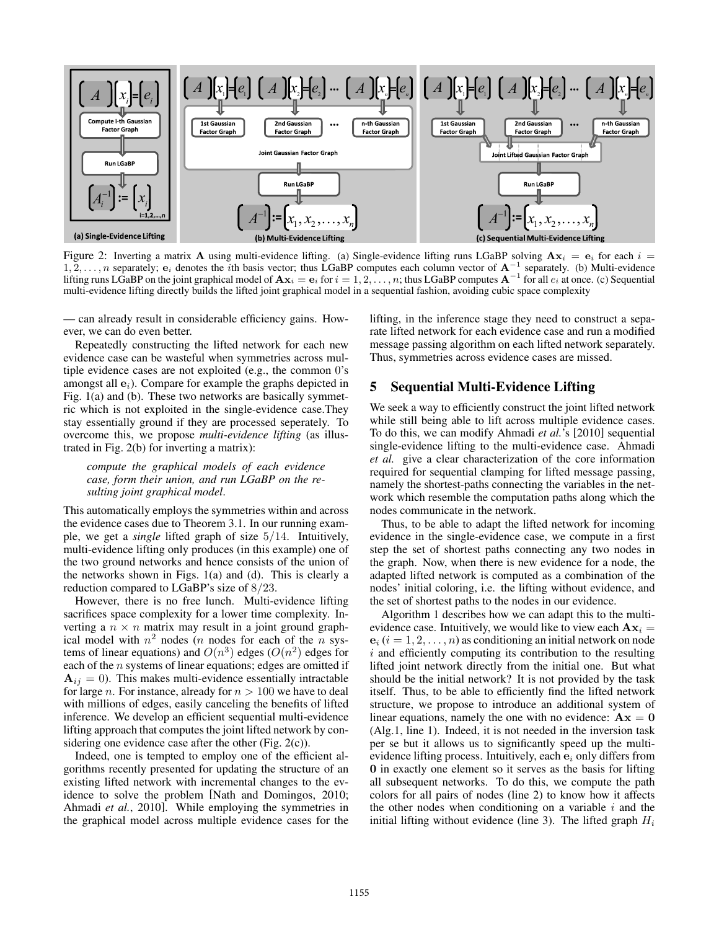

Figure 2: Inverting a matrix **A** using multi-evidence lifting. (a) Single-evidence lifting runs LGaBP solving  $Ax_i = e_i$  for each  $i =$ 1, 2,...,n separately; **e**<sup>i</sup> denotes the ith basis vector; thus LGaBP computes each column vector of **A**−<sup>1</sup> separately. (b) Multi-evidence lifting runs LGaBP on the joint graphical model of  $A x_i = e_i$  for  $i = 1, 2, ..., n$ ; thus LGaBP computes  $A^{-1}$  for all  $e_i$  at once. (c) Sequential multi-evidence lifting directly builds the lifted joint graphical model in a sequential fashion, avoiding cubic space complexity

— can already result in considerable efficiency gains. However, we can do even better.

Repeatedly constructing the lifted network for each new evidence case can be wasteful when symmetries across multiple evidence cases are not exploited (e.g., the common 0's amongst all  $\mathbf{e}_i$ ). Compare for example the graphs depicted in Fig. 1(a) and (b). These two networks are basically symmetric which is not exploited in the single-evidence case.They stay essentially ground if they are processed seperately. To overcome this, we propose *multi-evidence lifting* (as illustrated in Fig. 2(b) for inverting a matrix):

*compute the graphical models of each evidence case, form their union, and run LGaBP on the resulting joint graphical model*.

This automatically employs the symmetries within and across the evidence cases due to Theorem 3.1. In our running example, we get a *single* lifted graph of size 5/14. Intuitively, multi-evidence lifting only produces (in this example) one of the two ground networks and hence consists of the union of the networks shown in Figs. 1(a) and (d). This is clearly a reduction compared to LGaBP's size of 8/23.

However, there is no free lunch. Multi-evidence lifting sacrifices space complexity for a lower time complexity. Inverting a  $n \times n$  matrix may result in a joint ground graphical model with  $n^2$  nodes (*n* nodes for each of the *n* systems of linear equations) and  $O(n^3)$  edges  $(O(n^2))$  edges for each of the  $n$  systems of linear equations; edges are omitted if  $A_{ij} = 0$ ). This makes multi-evidence essentially intractable for large *n*. For instance, already for  $n > 100$  we have to deal with millions of edges, easily canceling the benefits of lifted inference. We develop an efficient sequential multi-evidence lifting approach that computes the joint lifted network by considering one evidence case after the other (Fig.  $2(c)$ ).

Indeed, one is tempted to employ one of the efficient algorithms recently presented for updating the structure of an existing lifted network with incremental changes to the evidence to solve the problem [Nath and Domingos, 2010; Ahmadi *et al.*, 2010]. While employing the symmetries in the graphical model across multiple evidence cases for the lifting, in the inference stage they need to construct a separate lifted network for each evidence case and run a modified message passing algorithm on each lifted network separately. Thus, symmetries across evidence cases are missed.

# 5 Sequential Multi-Evidence Lifting

We seek a way to efficiently construct the joint lifted network while still being able to lift across multiple evidence cases. To do this, we can modify Ahmadi *et al.*'s [2010] sequential single-evidence lifting to the multi-evidence case. Ahmadi *et al.* give a clear characterization of the core information required for sequential clamping for lifted message passing, namely the shortest-paths connecting the variables in the network which resemble the computation paths along which the nodes communicate in the network.

Thus, to be able to adapt the lifted network for incoming evidence in the single-evidence case, we compute in a first step the set of shortest paths connecting any two nodes in the graph. Now, when there is new evidence for a node, the adapted lifted network is computed as a combination of the nodes' initial coloring, i.e. the lifting without evidence, and the set of shortest paths to the nodes in our evidence.

Algorithm 1 describes how we can adapt this to the multievidence case. Intuitively, we would like to view each  $A x_i =$  **(** $i = 1, 2, ..., n$ **) as conditioning an initial network on node**  $i$  and efficiently computing its contribution to the resulting lifted joint network directly from the initial one. But what should be the initial network? It is not provided by the task itself. Thus, to be able to efficiently find the lifted network structure, we propose to introduce an additional system of linear equations, namely the one with no evidence:  $A x = 0$ (Alg.1, line 1). Indeed, it is not needed in the inversion task per se but it allows us to significantly speed up the multievidence lifting process. Intuitively, each  $e_i$  only differs from **0** in exactly one element so it serves as the basis for lifting all subsequent networks. To do this, we compute the path colors for all pairs of nodes (line 2) to know how it affects the other nodes when conditioning on a variable  $i$  and the initial lifting without evidence (line 3). The lifted graph  $H_i$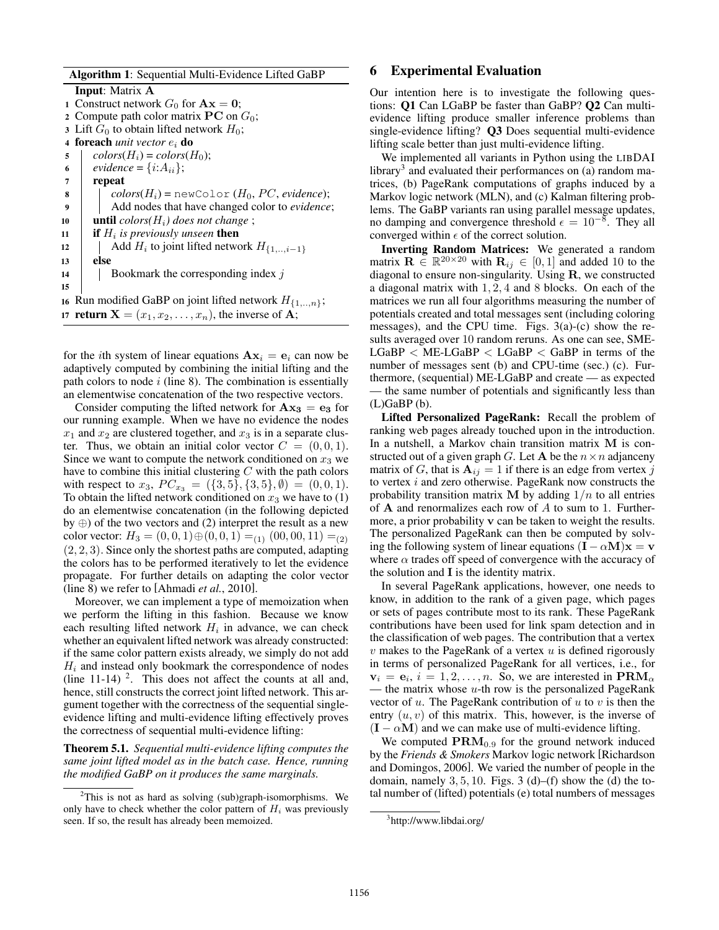Algorithm 1: Sequential Multi-Evidence Lifted GaBP Input: Matrix **A** 1 Construct network  $G_0$  for  $Ax = 0$ ; 2 Compute path color matrix  $PC$  on  $G_0$ ; 3 Lift  $G_0$  to obtain lifted network  $H_0$ ; 4 **foreach** *unit vector*  $e_i$  **do**  $\text{5}$  |  $\text{colors}(H_i) = \text{colors}(H_0);$ 6  $\vert$  *evidence* = {*i*: $A_{ii}$ }; <sup>7</sup> repeat  $\mathbf{8}$  | colors $(H_i)$  = newColor  $(H_0, PC, evidence);$ <sup>9</sup> Add nodes that have changed color to *evidence*; 10 **until**  $color(H_i)$  does not change; if  $H_i$  is previously unseen then 12  $\parallel$  Add  $H_i$  to joint lifted network  $H_{\{1,\ldots,i-1\}}$ <sup>13</sup> else 14 | Bookmark the corresponding index  $j$ 15 16 Run modified GaBP on joint lifted network  $H_{\{1,\ldots,n\}}$ ; 17 **return**  $X = (x_1, x_2, \dots, x_n)$ , the inverse of **A**;

for the *i*th system of linear equations  $A x_i = e_i$  can now be adaptively computed by combining the initial lifting and the path colors to node  $i$  (line 8). The combination is essentially an elementwise concatenation of the two respective vectors.

Consider computing the lifted network for  $A x_3 = e_3$  for our running example. When we have no evidence the nodes  $x_1$  and  $x_2$  are clustered together, and  $x_3$  is in a separate cluster. Thus, we obtain an initial color vector  $C = (0, 0, 1)$ . Since we want to compute the network conditioned on  $x_3$  we have to combine this initial clustering  $C$  with the path colors with respect to  $x_3$ ,  $PC_{x_3} = (\{3, 5\}, \{3, 5\}, \emptyset) = (0, 0, 1).$ To obtain the lifted network conditioned on  $x_3$  we have to (1) do an elementwise concatenation (in the following depicted by ⊕) of the two vectors and (2) interpret the result as a new color vector:  $H_3 = (0, 0, 1) \oplus (0, 0, 1) =_{(1)} (00, 00, 11) =_{(2)}$ (2, 2, 3). Since only the shortest paths are computed, adapting the colors has to be performed iteratively to let the evidence propagate. For further details on adapting the color vector (line 8) we refer to [Ahmadi *et al.*, 2010].

Moreover, we can implement a type of memoization when we perform the lifting in this fashion. Because we know each resulting lifted network  $H_i$  in advance, we can check whether an equivalent lifted network was already constructed: if the same color pattern exists already, we simply do not add  $H_i$  and instead only bookmark the correspondence of nodes (line  $11-14$ )<sup>2</sup>. This does not affect the counts at all and, hence, still constructs the correct joint lifted network. This argument together with the correctness of the sequential singleevidence lifting and multi-evidence lifting effectively proves the correctness of sequential multi-evidence lifting:

Theorem 5.1. *Sequential multi-evidence lifting computes the same joint lifted model as in the batch case. Hence, running the modified GaBP on it produces the same marginals.*

## 6 Experimental Evaluation

Our intention here is to investigate the following questions: Q1 Can LGaBP be faster than GaBP? Q2 Can multievidence lifting produce smaller inference problems than single-evidence lifting? Q3 Does sequential multi-evidence lifting scale better than just multi-evidence lifting.

We implemented all variants in Python using the LIBDAI library<sup>3</sup> and evaluated their performances on (a) random matrices, (b) PageRank computations of graphs induced by a Markov logic network (MLN), and (c) Kalman filtering problems. The GaBP variants ran using parallel message updates, no damping and convergence threshold  $\epsilon = 10^{-8}$ . They all converged within  $\epsilon$  of the correct solution.

Inverting Random Matrices: We generated a random matrix  $\mathbf{R} \in \mathbb{R}^{20 \times 20}$  with  $\mathbf{R}_{ij} \in [0, 1]$  and added 10 to the diagonal to ensure non-singularity. Using **R**, we constructed a diagonal matrix with 1, 2, 4 and 8 blocks. On each of the matrices we run all four algorithms measuring the number of potentials created and total messages sent (including coloring messages), and the CPU time. Figs. 3(a)-(c) show the results averaged over 10 random reruns. As one can see, SME- $LGaBP < ME-LGaBP < LGaBP < GaBP$  in terms of the number of messages sent (b) and CPU-time (sec.) (c). Furthermore, (sequential) ME-LGaBP and create — as expected — the same number of potentials and significantly less than  $(L)$ GaBP $(b)$ .

Lifted Personalized PageRank: Recall the problem of ranking web pages already touched upon in the introduction. In a nutshell, a Markov chain transition matrix **M** is constructed out of a given graph G. Let **A** be the  $n \times n$  adjanceny matrix of G, that is  $A_{ij} = 1$  if there is an edge from vertex j to vertex i and zero otherwise. PageRank now constructs the probability transition matrix **M** by adding  $1/n$  to all entries of **A** and renormalizes each row of A to sum to 1. Furthermore, a prior probability **v** can be taken to weight the results. The personalized PageRank can then be computed by solving the following system of linear equations  $(I - \alpha M)x = v$ where  $\alpha$  trades off speed of convergence with the accuracy of the solution and **I** is the identity matrix.

In several PageRank applications, however, one needs to know, in addition to the rank of a given page, which pages or sets of pages contribute most to its rank. These PageRank contributions have been used for link spam detection and in the classification of web pages. The contribution that a vertex  $v$  makes to the PageRank of a vertex  $u$  is defined rigorously in terms of personalized PageRank for all vertices, i.e., for  $\mathbf{v}_i = \mathbf{e}_i, i = 1, 2, \dots, n$ . So, we are interested in  $\mathbf{PRM}_{\alpha}$ — the matrix whose  $u$ -th row is the personalized PageRank vector of  $u$ . The PageRank contribution of  $u$  to  $v$  is then the entry  $(u, v)$  of this matrix. This, however, is the inverse of  $(I - \alpha M)$  and we can make use of multi-evidence lifting.

We computed  $\text{PRM}_{0.9}$  for the ground network induced by the *Friends & Smokers* Markov logic network [Richardson and Domingos, 2006]. We varied the number of people in the domain, namely  $3, 5, 10$ . Figs.  $3(d)$ –(f) show the (d) the total number of (lifted) potentials (e) total numbers of messages

 $2$ This is not as hard as solving (sub)graph-isomorphisms. We only have to check whether the color pattern of  $H_i$  was previously seen. If so, the result has already been memoized.

<sup>&</sup>lt;sup>3</sup>http://www.libdai.org/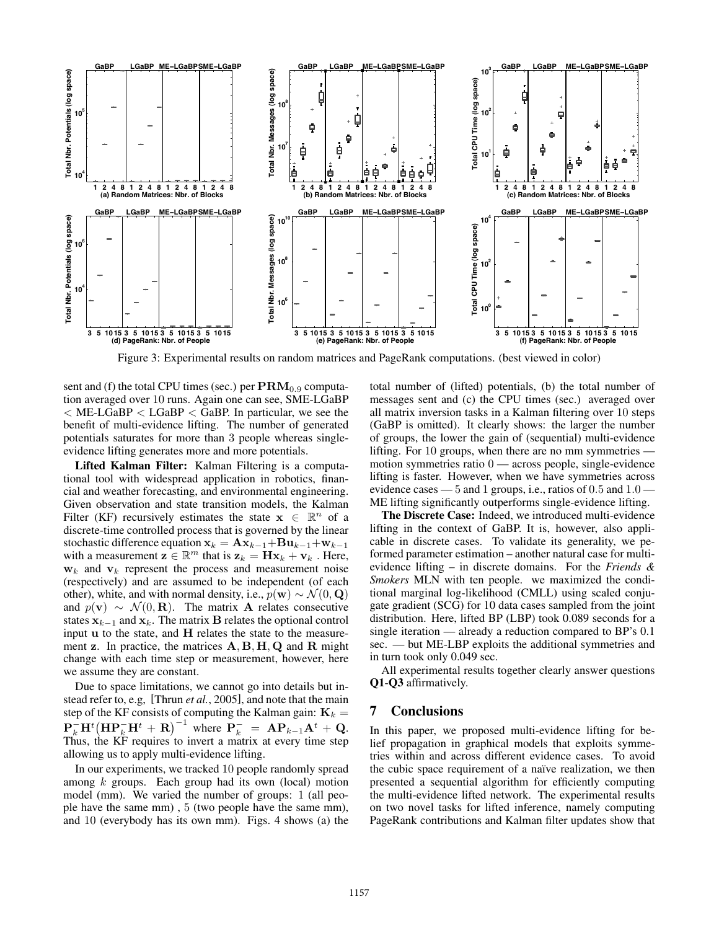

Figure 3: Experimental results on random matrices and PageRank computations. (best viewed in color)

sent and (f) the total CPU times (sec.) per  $\text{PRM}_{0.9}$  computation averaged over 10 runs. Again one can see, SME-LGaBP  $<$  ME-LGaBP  $<$  LGaBP  $<$  GaBP. In particular, we see the benefit of multi-evidence lifting. The number of generated potentials saturates for more than 3 people whereas singleevidence lifting generates more and more potentials.

Lifted Kalman Filter: Kalman Filtering is a computational tool with widespread application in robotics, financial and weather forecasting, and environmental engineering. Given observation and state transition models, the Kalman Filter (KF) recursively estimates the state  $x \in \mathbb{R}^n$  of a discrete-time controlled process that is governed by the linear stochastic difference equation  $\mathbf{x}_k = \mathbf{A}\mathbf{x}_{k-1} + \mathbf{B}\mathbf{u}_{k-1} + \mathbf{w}_{k-1}$ with a measurement  $z \in \mathbb{R}^m$  that is  $z_k = Hx_k + v_k$ . Here,  $w_k$  and  $v_k$  represent the process and measurement noise (respectively) and are assumed to be independent (of each other), white, and with normal density, i.e.,  $p(\mathbf{w}) \sim \mathcal{N}(0, \mathbf{Q})$ and  $p(\mathbf{v}) \sim \mathcal{N}(0, \mathbf{R})$ . The matrix **A** relates consecutive states  $\mathbf{x}_{k-1}$  and  $\mathbf{x}_k$ . The matrix **B** relates the optional control input **u** to the state, and **H** relates the state to the measurement **z**. In practice, the matrices **A**, **B**, **H**, **Q** and **R** might change with each time step or measurement, however, here we assume they are constant.

Due to space limitations, we cannot go into details but instead refer to, e.g, [Thrun *et al.*, 2005], and note that the main step of the KF consists of computing the Kalman gain:  $\mathbf{K}_k =$  $\mathbf{P}_{k}^{-} \mathbf{H}^{t} \left( \mathbf{H} \mathbf{P}_{k}^{-} \mathbf{H}^{t} + \mathbf{R} \right)^{-1}$  where  $\mathbf{P}_{k}^{-} = \mathbf{A} \mathbf{P}_{k-1} \mathbf{A}^{t} + \mathbf{Q}$ . Thus, the KF requires to invert a matrix at every time step allowing us to apply multi-evidence lifting.

In our experiments, we tracked 10 people randomly spread among  $k$  groups. Each group had its own (local) motion model (mm). We varied the number of groups: 1 (all people have the same mm) , 5 (two people have the same mm), and 10 (everybody has its own mm). Figs. 4 shows (a) the total number of (lifted) potentials, (b) the total number of messages sent and (c) the CPU times (sec.) averaged over all matrix inversion tasks in a Kalman filtering over 10 steps (GaBP is omitted). It clearly shows: the larger the number of groups, the lower the gain of (sequential) multi-evidence lifting. For 10 groups, when there are no mm symmetries motion symmetries ratio  $0$  — across people, single-evidence lifting is faster. However, when we have symmetries across evidence cases — 5 and 1 groups, i.e., ratios of 0.5 and 1.0 — ME lifting significantly outperforms single-evidence lifting.

The Discrete Case: Indeed, we introduced multi-evidence lifting in the context of GaBP. It is, however, also applicable in discrete cases. To validate its generality, we peformed parameter estimation – another natural case for multievidence lifting – in discrete domains. For the *Friends & Smokers* MLN with ten people. we maximized the conditional marginal log-likelihood (CMLL) using scaled conjugate gradient (SCG) for 10 data cases sampled from the joint distribution. Here, lifted BP (LBP) took 0.089 seconds for a single iteration — already a reduction compared to BP's 0.1 sec. — but ME-LBP exploits the additional symmetries and in turn took only 0.049 sec.

All experimental results together clearly answer questions Q1-Q3 affirmatively.

#### 7 Conclusions

In this paper, we proposed multi-evidence lifting for belief propagation in graphical models that exploits symmetries within and across different evidence cases. To avoid the cubic space requirement of a naïve realization, we then presented a sequential algorithm for efficiently computing the multi-evidence lifted network. The experimental results on two novel tasks for lifted inference, namely computing PageRank contributions and Kalman filter updates show that